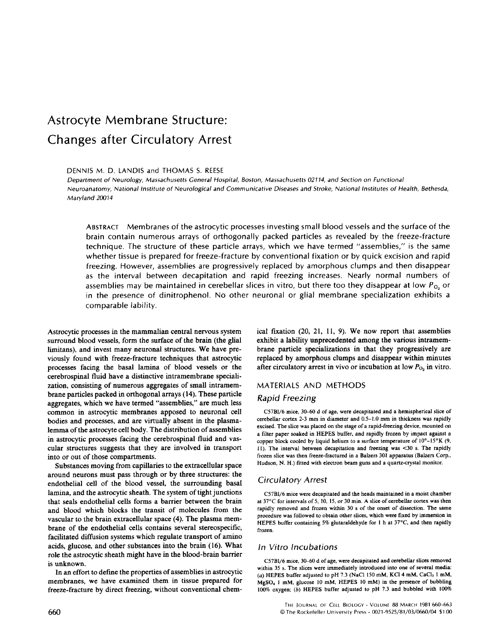# Astrocyte Membrane Structure: Changes after Circulatory Arrest

DENNIS M. D. LANDIS and THOMAS S. REESE

Department of Neurology, Massachusetts General Hospital, Boston, Massachusetts 02114, and Section on Functional Neuroanatomy, National Institute of Neurological and Communicative Diseases and Stroke, National Institutes of Health, Bethesda, Maryland 20014

ABSTRACT Membranes of the astrocytic processes investing small blood vessels and the surface of the brain contain numerous arrays of orthogonally packed particles as revealed by the freeze-fracture technique. The structure of these particle arrays, which we have termed "assemblies," is the same whether tissue is prepared for freeze-fracture by conventional fixation or by quick excision and rapid freezing . However, assemblies are progressively replaced by amorphous clumps and then disappear as the interval between decapitation and rapid freezing increases . Nearly normal numbers of assemblies may be maintained in cerebellar slices in vitro, but there too they disappear at low  $P_{\text{o}_2}$  or in the presence of dinitrophenol. No other neuronal or glial membrane specialization exhibits a comparable lability.

Astrocytic processes in the mammalian central nervous system surround blood vessels, form the surface of the brain (the glial limitans), and invest many neuronal structures. We have previously found with freeze-fracture techniques that astrocytic processes facing the basal lamina of blood vessels or the cerebrospinal fluid have a distinctive intramembrane specialization, consisting of numerous aggregates of small intramembrane particles packed in orthogonal arrays (14). These particle aggregates, which we have termed "assemblies," are much less common in astrocytic membranes apposed to neuronal cell bodies and processes, and are virtually absent in the plasmalemma of the astrocyte cell body. The distribution of assemblies in astrocytic processes facing the cerebrospinal fluid and vascular structures suggests that they are involved in transport into or out of those compartments.

Substances moving from capillaries to the extracellular space around neurons must pass through or by three structures: the endothelial cell of the blood vessel, the surrounding basal lamina, and the astrocytic sheath. The system of tight junctions that seals endothelial cells forms a barrier between the brain and blood which blocks the transit of molecules from the vascular to the brain extracellular space (4). The plasma membrane of the endothelial cells contains several stereospecific, facilitated diffusion systems which regulate transport of amino acids, glucose, and other substances into the brain (16) . What role the astrocytic sheath might have in the blood-brain barrier is unknown.

In an effort to define the properties of assemblies in astrocytic membranes, we have examined them in tissue prepared for freeze-fracture by direct freezing, without conventional chemical fixation  $(20, 21, 11, 9)$ . We now report that assemblies exhibit a lability unprecedented among the various intramembrane particle specializations in that they progressively are replaced by amorphous clumps and disappear within minutes after circulatory arrest in vivo or incubation at low  $P_{O_2}$  in vitro.

# MATERIALS AND METHODS

# Rapid Freezing

C57B1/6 mice, 30-60 d of age, were decapitated and a hemispherical slice of cerebellar cortex 2-3 mm in diameter and 0.5-1 .0 mm in thickness was rapidly excised. The slice was placed on the stage of a rapid-freezing device, mounted on a filter paper soaked in HEPES buffer, and rapidly frozen by impact against <sup>a</sup> copper block cooled by liquid helium to a surface temperature of  $10^{\circ} - 15^{\circ}K$  (9, I1). The interval between decapitation and freezing was <30 <sup>s</sup> . The rapidly frozen slice was then freeze-fractured in <sup>a</sup> Balzers 301 apparatus (Balzers Corp ., Hudson, N. H.) fitted with electron beam guns and <sup>a</sup> quartz-crystal monitor.

#### Circulatory Arrest

C57B1/6 mice were decapitated and the heads maintained in a moist chamber at 37°C for intervals of 5, 10, 15, or <sup>30</sup> min Aslice of cerebellar cortex was then rapidly removed and frozen within 30 <sup>s</sup> of the onset of dissection . The same procedure was followed to obtain other slices, which were fixed by immersion in HEPES buffer containing 5% glutaraldehyde for <sup>1</sup> h at 37°C, and then rapidly frozen

#### In Vitro Incubations

C57B1/6 mice, 30-60 d of age, were decapitated and cerebellar slices removed within 35 s. The slices were immediately introduced into one of several media: (a) HEPES buffer adjusted to pH 7.3 (NaCl 150 mM, KCl 4 mM, CaCl<sub>2</sub> 1 mM, MgS04 <sup>1</sup> MM, glucose <sup>10</sup> mM, HEPES <sup>10</sup> mM) in the presence of bubbling 100% oxygen; (b) HEPES buffer adjusted to pH 7.3 and bubbled with  $100\%$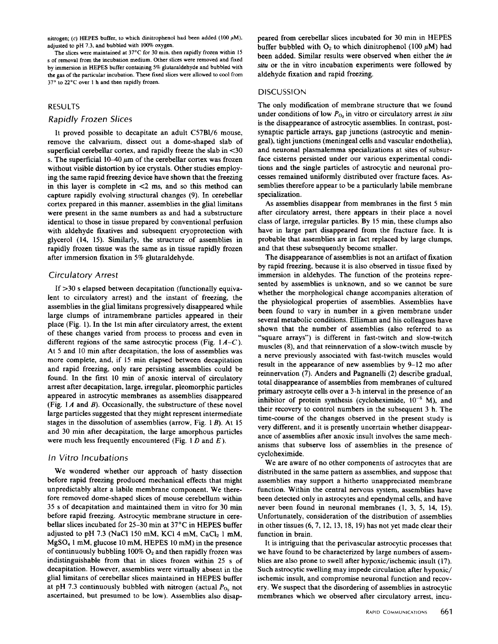nitrogen; (c) HEPES buffer, to which dinitrophenol had been added (100  $\mu$ M), adjusted to pH 7.3, and bubbled with 100% oxygen.

The slices were maintained at 37°C for 30 min, then rapidly frozen within 15 s of removal from the incubation medium. Other slices were removed and fixed by immersion in HEPES buffer containing 5% glutaraldehyde and bubbled with the gas of the particular incubation . These fixed slices were allowed to cool from 37° to 22°C over <sup>l</sup> h and then rapidly frozen.

### RESULTS

# Rapidly Frozen Slices

It proved possible to decapitate an adult C57B1/6 mouse, remove the calvarium, dissect out a dome-shaped slab of superficial cerebellar cortex, and rapidly freeze the slab in  $\leq$ 30 s. The superficial  $10-40 \mu m$  of the cerebellar cortex was frozen without visible distortion by ice crystals. Other studies employing the same rapid freezing device have shown that the freezing in this layer is complete in  $<$ 2 ms, and so this method can capture rapidly evolving structural changes (9). In cerebellar cortex prepared in this manner, assemblies in the glial limitans were present in the same numbers as and had a substructure identical to those in tissue prepared by conventional perfusion with aldehyde fixatives and subsequent cryoprotection with glycerol (14, 15) . Similarly, the structure of assemblies in rapidly frozen tissue was the same as in tissue rapidly frozen after immersion fixation in 5% glutaraldehyde.

# Circulatory Arrest

If >30 <sup>s</sup> elapsed between decapitation (functionally equivalent to circulatory arrest) and the instant of freezing, the assemblies in the glial limitans progressively disappeared while large clumps of intramembrane particles appeared in their place (Fig. 1). In the 1st min after circulatory arrest, the extent of these changes varied from process to process and even in different regions of the same astrocytic process (Fig.  $1A-C$ ). At <sup>5</sup> and 10 min after decapitation, the loss of assemblies was more complete, and, if 15 min elapsed between decapitation and rapid freezing, only rare persisting assemblies could be found. In the first 10 min of anoxic interval of circulatory arrest after decapitation, large, irregular, pleomorphic particles appeared in astrocytic membranes as assemblies disappeared (Fig. 1 $\Lambda$  and  $\tilde{B}$ ). Occasionally, the substructure of these novel large particles suggested that they might represent intermediate stages in the dissolution of assemblies (arrow, Fig.  $1B$ ). At 15 and 30 min after decapitation, the large amorphous particles were much less frequently encountered (Fig.  $1 D$  and  $E$ ).

### In Vitro Incubations

We wondered whether our approach of hasty dissection before rapid freezing produced mechanical effects that might unpredictably alter <sup>a</sup> labile membrane component. We therefore removed dome-shaped slices of mouse cerebellum within 35 <sup>s</sup> of decapitation and maintained them in vitro for 30 min before rapid freezing. Astrocytic membrane structure in cerebellar slices incubated for 25-30 min at 37°C in HEPES buffer adjusted to pH 7.3 (NaCl 150 mM, KCl 4 mM, CaCl<sub>2</sub> 1 mM, MgS04 1 mM, glucose <sup>10</sup> mM, HEPES <sup>10</sup> mM) in the presence of continuously bubbling  $100\%$  O<sub>2</sub> and then rapidly frozen was indistinguishable from that in slices frozen within 25 <sup>s</sup> of decapitation. However, assemblies were virtually absent in the glial limitans of cerebellar slices maintained in HEPES buffer at pH 7.3 continuously bubbled with nitrogen (actual  $P_{O_2}$  not ascertained, but presumed to be low). Assemblies also disappeared from cerebellar slices incubated for <sup>30</sup> min in HEPES buffer bubbled with  $O_2$  to which dinitrophenol (100  $\mu$ M) had been added. Similar results were observed when either the in situ or the in vitro incubation experiments were followed by aldehyde fixation and rapid freezing.

#### DISCUSSION

The only modification of membrane structure that we found under conditions of low  $P_{\text{O}_2}$  in vitro or circulatory arrest in situ is the disappearance of astrocytic assemblies . In contrast, postsynaptic particle arrays, gap junctions (astrocytic and meningeal), tight junctions (meningeal cells and vascular endothelia), and neuronal plasmalemma specializations at sites of subsurface cisterns persisted under our various experimental conditions and the single particles of astrocytic and neuronal processes remained uniformly distributed over fracture faces. Assemblies therefore appear to be a particularly labile membrane specialization.

As assemblies disappear from membranes in the first 5 min after circulatory arrest, there appears in their place a novel class of large, irregular particles . By <sup>15</sup> min, these clumps also have in large part disappeared from the fracture face. It is probable that assemblies are in fact replaced by large clumps, and that these subsequently become smaller.

The disappearance of assemblies is not an artifact of fixation by rapid freezing, because it is also observed in tissue fixed by immersion in aldehydes. The function of the proteins represented by assemblies is unknown, and so we cannot be sure whether the morphological change accompanies alteration of the physiological properties of assemblies . Assemblies have been found to vary in number in a given membrane under several metabolic conditions. Ellisman and his colleagues have shown that the number of assemblies (also referred to as "square arrays") is different in fast-twitch and slow-twitch muscles (8), and that reinnervation of a slow-twitch muscle by a nerve previously associated with fast-twitch muscles would result in the appearance of new assemblies by 9-12 mo after reinnervation (7) . Anders and Pagnanelli (2) describe gradual, total disappearance of assemblies from membranes of cultured primary astrocyte cells over a 3-h interval in the presence of an inhibitor of protein synthesis (cycloheximide,  $10^{-6}$  M), and their recovery to control numbers in the subsequent 3 h . The time-course of the changes observed in the present study is very different, and it is presently uncertain whether disappearance of assemblies after anoxic insult involves the same mechanisms that subserve loss of assemblies in the presence of cycloheximide .

We are aware of no other components of astrocytes that are distributed in the same pattern as assemblies, and suppose that assemblies may support <sup>a</sup> hitherto unappreciated membrane function. Within the central nervous system, assemblies have been detected only in astrocytes and ependymal cells, and have never been found in neuronal membranes (1, 3, 5, 14, 15). Unfortunately, consideration of the distribution of assemblies in other tissues (6, 7, 12, 13, 18, 19) has not yet made clear their function in brain.

It is intriguing that the perivascular astrocytic processes that we have found to be characterized by large numbers of assemblies are also prone to swell after hypoxic/ischemic insult (17). Such astrocytic swelling may impede circulation after hypoxic/ ischemic insult, and compromise neuronal function and recovery. We suspect that the disordering of assemblies in astrocytic membranes which we observed after circulatory arrest, incu-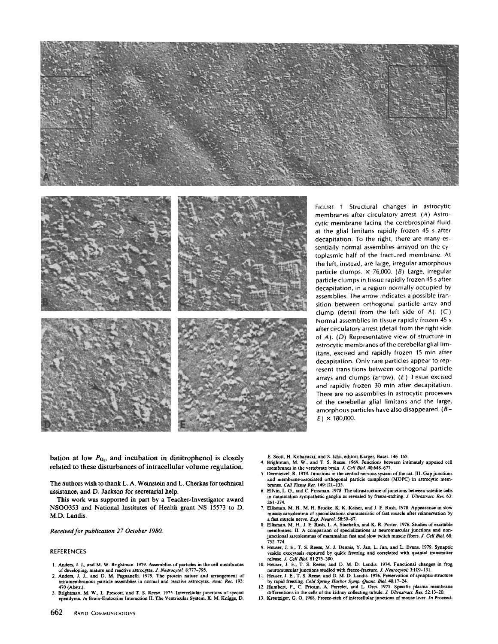

There are no assemblies in astrocytic processes of the cerebellar glial limitans and the large, amorphous particles have also disappeared. (B- $E$ )  $\times$  180,000.

bation at low  $P_{O<sub>2</sub>}$ , and incubation in dinitrophenol is closely related to these disturbances of intracellular volume regulation. E. Scott, H. Kobayaski, and S. Ishii, editors.Karger, Basel. 146–165.<br>4. Brightman, M. W., and T. S. Reese. 1969. Junctions between intimately apposed cell<br>now happen in the ungularity health LG-11 Biol. 40:648-677.

The authors wish to thank L. A. Weinstein and L. Cherkas for technical assistance, and D. Jackson for secretarial help.

This work was supported in part by a Teacher-Investigator award NS00353 and National Institutes of Health grant NS <sup>15573</sup> to D. M.D. Landis.

# Received for publication 27 October 1980.

#### REFERENCES

- 1. Anders, J. J., and M. W. Brightman. 1979. Assemblies of particles in the cell membranes
- of developing, mature and reactive astrocytes. J. Neurocytol. 8:777-795.<br>2. Anders, J. J., and D. M. Pagnanelli. 1979. The protein nature and arrangement of intramembranous particle assemblies in normal and reactive astrocytes. Anat. Rec. 193: 470 (Abstr.).
- 3. Brightman, M. W., L. Prescott, and T. S. Reese. 1975. Intercellular junctions of special ependyma. In Brain-Endocrine Interaction II. The Ventricular System. K. M. Knigge, D.
- membranes in the vertebrate brain. J. Cell Biol. 40:648-677. 5. Dermietzel, R. 1974. Junctions in the central nervous system of the cat. III. Gap junctions and membrane-associated orthogonal particle complexes (MOPC) in astrocytic mem-
- branes. Cell Tissue Res. 149:121-135. 6. Elfvin, L. G., and C. Forsman. 1978. The uitrastructure of junctions between satellite cells
- in mammalian sympathetic ganglia as revealed by freeze-etching. J. Ultrastruct. Res. 63:<br>261-274.
- 261-274 . 7. Ellisman, M. H., M. H. Brooke, K. <sup>K</sup> Kaiser, and J. <sup>E</sup> Rash. 1978. Appearance in slow muscle sarcolemma of specializations characteristic of fast muscle after reinnervation by fast muscle nerve. Exp. Neurol. 58:59-67.
- 8. Ellisman, M. H., J. E. Rash, L. A. Staehelin, and K. R. Porter. 1976. Studies of excitable membranes. II. A comparison of specializations at neuromuscular junctions and nonjunctional sarcolemmas of mammalian fast and slow twitch muscle fibers. J. Cell Biol. 68: 752-774.
- 9. Heuser, J. E., T. S. Reese, M. J. Dennis, Y. Jan, L. Jan, and L. Evans. 1979. Synaptic vesicle exocytosis captured by quick freezing and correlated with quantal transmitter release. J. Cell Biol. 81:275-300.
- 10. Heuser, J. E., T. S. Reese, and D. M. D. Landis. 1974. Functional changes in frog neuromuscular junctions studied with freeze-fracture. J. Neurocytol. 3:109-131.
- 11. Heuser, J. E., T. S. Reese, and D. M. D. Landis. 1976. Preservation of synaptic structure
- by rapid freezing. Cold Spring Harbor Symp. Quant. Biol. 40:17-24.<br>12. Humbert, F., C. Pricam, A. Perrelet, and L. Orci. 1975. Specific plasma membrane differentions in the cells of the kidney collecting tubule. J. Ultrastruct. Res. 52:13-20.
- 13. Kreutziger, G. O. 1968. Freeze-etch of intercellular junctions of mouse liver. In Proceed-